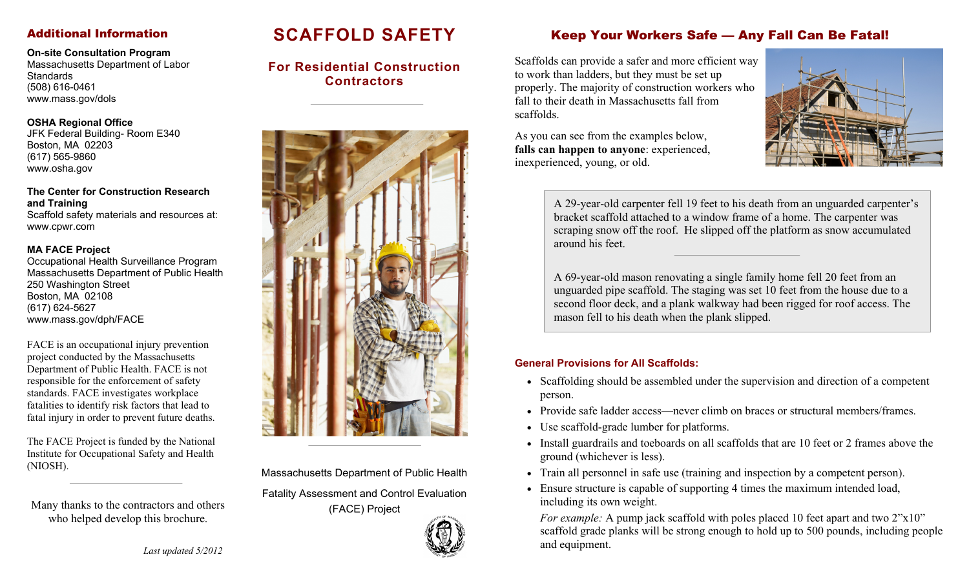### Additional Information

**On-site Consultation Program** 

Massachusetts Department of Labor **Standards** (508) 616-0461 www.mass.gov/dols

#### **OSHA Regional Office**

JFK Federal Building- Room E340 Boston, MA 02203 (617) 565-9860 www.osha.gov

**The Center for Construction Research and Training**  Scaffold safety materials and resources at: www.cpwr.com

#### **MA FACE Project**

Occupational Health Surveillance Program Massachusetts Department of Public Health 250 Washington Street Boston, MA 02108 (617) 624-5627 www.mass.gov/dph/FACE

FACE is an occupational injury prevention project conducted by the Massachusetts Department of Public Health. FACE is not responsible for the enforcement of safety standards. FACE investigates workplace fatalities to identify risk factors that lead to fatal injury in order to prevent future deaths.

The FACE Project is funded by the National Institute for Occupational Safety and Health (NIOSH).

Many thanks to the contractors and others who helped develop this brochure.

# **SCAFFOLD SAFETY**

**For Residential Construction Contractors** 



Massachusetts Department of Public Health

Fatality Assessment and Control Evaluation (FACE) Project



## Keep Your Workers Safe — Any Fall Can Be Fatal!

Scaffolds can provide a safer and more efficient way to work than ladders, but they must be set up properly. The majority of construction workers who fall to their death in Massachusetts fall from scaffolds.

As you can see from the examples below, **falls can happen to anyone**: experienced, inexperienced, young, or old.



A 29-year-old carpenter fell 19 feet to his death from an unguarded carpenter's bracket scaffold attached to a window frame of a home. The carpenter was scraping snow off the roof. He slipped off the platform as snow accumulated around his feet.

A 69-year-old mason renovating a single family home fell 20 feet from an unguarded pipe scaffold. The staging was set 10 feet from the house due to a second floor deck, and a plank walkway had been rigged for roof access. The mason fell to his death when the plank slipped.

#### **General Provisions for All Scaffolds:**

- Scaffolding should be assembled under the supervision and direction of a competent person.
- Provide safe ladder access—never climb on braces or structural members/frames.
- Use scaffold-grade lumber for platforms.
- Install guardrails and toeboards on all scaffolds that are 10 feet or 2 frames above the ground (whichever is less).
- Train all personnel in safe use (training and inspection by a competent person).
- Ensure structure is capable of supporting 4 times the maximum intended load, including its own weight.

*For example:* A pump jack scaffold with poles placed 10 feet apart and two 2"x10" scaffold grade planks will be strong enough to hold up to 500 pounds, including people and equipment.